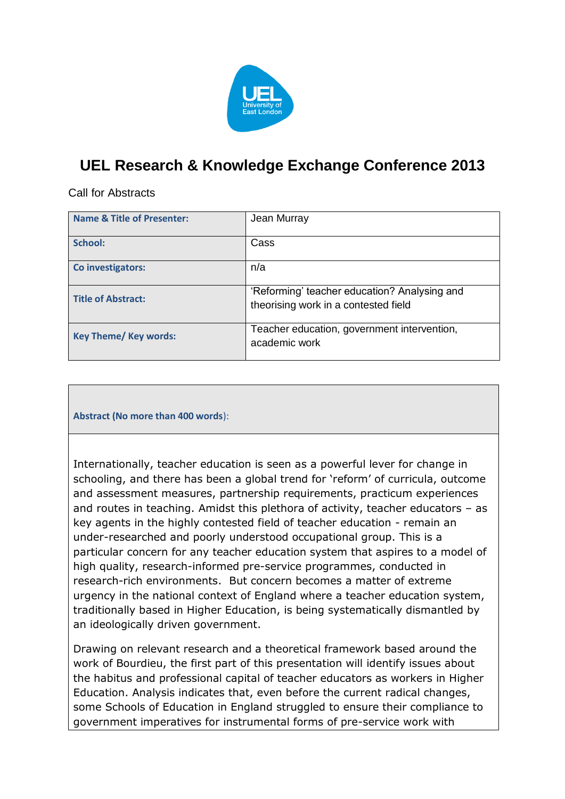

## **UEL Research & Knowledge Exchange Conference 2013**

Call for Abstracts

| <b>Name &amp; Title of Presenter:</b> | Jean Murray                                                                          |
|---------------------------------------|--------------------------------------------------------------------------------------|
| School:                               | Cass                                                                                 |
| Co investigators:                     | n/a                                                                                  |
| <b>Title of Abstract:</b>             | 'Reforming' teacher education? Analysing and<br>theorising work in a contested field |
| <b>Key Theme/ Key words:</b>          | Teacher education, government intervention,<br>academic work                         |

**Abstract (No more than 400 words**):

Internationally, teacher education is seen as a powerful lever for change in schooling, and there has been a global trend for 'reform' of curricula, outcome and assessment measures, partnership requirements, practicum experiences and routes in teaching. Amidst this plethora of activity, teacher educators – as key agents in the highly contested field of teacher education - remain an under-researched and poorly understood occupational group. This is a particular concern for any teacher education system that aspires to a model of high quality, research-informed pre-service programmes, conducted in research-rich environments. But concern becomes a matter of extreme urgency in the national context of England where a teacher education system, traditionally based in Higher Education, is being systematically dismantled by an ideologically driven government.

Drawing on relevant research and a theoretical framework based around the work of Bourdieu, the first part of this presentation will identify issues about the habitus and professional capital of teacher educators as workers in Higher Education. Analysis indicates that, even before the current radical changes, some Schools of Education in England struggled to ensure their compliance to government imperatives for instrumental forms of pre-service work with